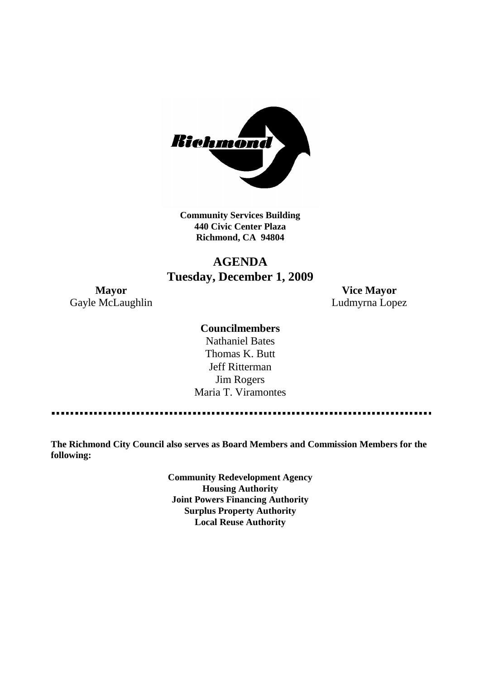

**Community Services Building 440 Civic Center Plaza Richmond, CA 94804**

# **AGENDA Tuesday, December 1, 2009**

**Mayor Vice Mayor** Gayle McLaughlin **Ludmyrna Lopez** 

# **Councilmembers**

Nathaniel Bates Thomas K. Butt Jeff Ritterman Jim Rogers Maria T. Viramontes

**The Richmond City Council also serves as Board Members and Commission Members for the following:**

> **Community Redevelopment Agency Housing Authority Joint Powers Financing Authority Surplus Property Authority Local Reuse Authority**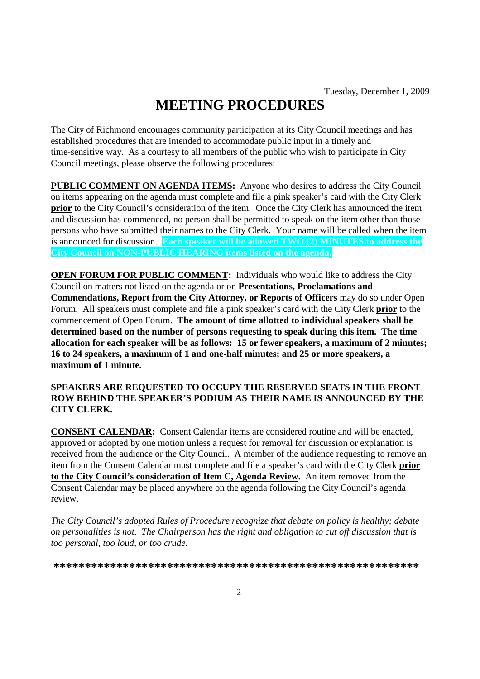# **MEETING PROCEDURES**

The City of Richmond encourages community participation at its City Council meetings and has established procedures that are intended to accommodate public input in a timely and time-sensitive way. As a courtesy to all members of the public who wish to participate in City Council meetings, please observe the following procedures:

**PUBLIC COMMENT ON AGENDA ITEMS:** Anyone who desires to address the City Council on items appearing on the agenda must complete and file a pink speaker's card with the City Clerk **prior** to the City Council's consideration of the item. Once the City Clerk has announced the item and discussion has commenced, no person shall be permitted to speak on the item other than those persons who have submitted their names to the City Clerk. Your name will be called when the item is announced for discussion. **Each speaker will be allowed TWO (2) MINUTES to address the City Council on NON-PUBLIC HEARING items listed on the agenda.**

**OPEN FORUM FOR PUBLIC COMMENT:** Individuals who would like to address the City Council on matters not listed on the agenda or on **Presentations, Proclamations and Commendations, Report from the City Attorney, or Reports of Officers** may do so under Open Forum. All speakers must complete and file a pink speaker's card with the City Clerk **prior** to the commencement of Open Forum. **The amount of time allotted to individual speakers shall be determined based on the number of persons requesting to speak during this item. The time allocation for each speaker will be as follows: 15 or fewer speakers, a maximum of 2 minutes; 16 to 24 speakers, a maximum of 1 and one-half minutes; and 25 or more speakers, a maximum of 1 minute.**

#### **SPEAKERS ARE REQUESTED TO OCCUPY THE RESERVED SEATS IN THE FRONT ROW BEHIND THE SPEAKER'S PODIUM AS THEIR NAME IS ANNOUNCED BY THE CITY CLERK.**

**CONSENT CALENDAR:** Consent Calendar items are considered routine and will be enacted, approved or adopted by one motion unless a request for removal for discussion or explanation is received from the audience or the City Council. A member of the audience requesting to remove an item from the Consent Calendar must complete and file a speaker's card with the City Clerk **prior to the City Council's consideration of Item C, Agenda Review.** An item removed from the Consent Calendar may be placed anywhere on the agenda following the City Council's agenda review.

*The City Council's adopted Rules of Procedure recognize that debate on policy is healthy; debate on personalities is not. The Chairperson has the right and obligation to cut off discussion that is too personal, too loud, or too crude.*

**\*\*\*\*\*\*\*\*\*\*\*\*\*\*\*\*\*\*\*\*\*\*\*\*\*\*\*\*\*\*\*\*\*\*\*\*\*\*\*\*\*\*\*\*\*\*\*\*\*\*\*\*\*\*\*\*\*\***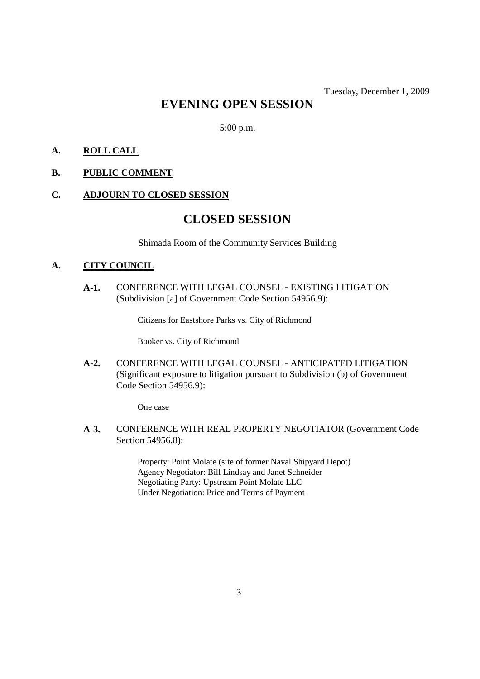# **EVENING OPEN SESSION**

5:00 p.m.

# **A. ROLL CALL**

## **B. PUBLIC COMMENT**

#### **C. ADJOURN TO CLOSED SESSION**

# **CLOSED SESSION**

Shimada Room of the Community Services Building

#### **A. CITY COUNCIL**

**A-1.** CONFERENCE WITH LEGAL COUNSEL - EXISTING LITIGATION (Subdivision [a] of Government Code Section 54956.9):

Citizens for Eastshore Parks vs. City of Richmond

Booker vs. City of Richmond

**A-2.** CONFERENCE WITH LEGAL COUNSEL - ANTICIPATED LITIGATION (Significant exposure to litigation pursuant to Subdivision (b) of Government Code Section 54956.9):

One case

**A-3.** CONFERENCE WITH REAL PROPERTY NEGOTIATOR (Government Code Section 54956.8):

> Property: Point Molate (site of former Naval Shipyard Depot) Agency Negotiator: Bill Lindsay and Janet Schneider Negotiating Party: Upstream Point Molate LLC Under Negotiation: Price and Terms of Payment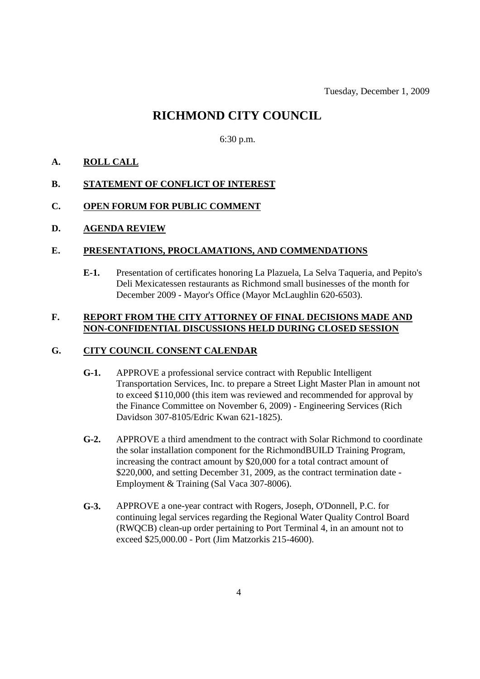# **RICHMOND CITY COUNCIL**

6:30 p.m.

## **A. ROLL CALL**

#### **B. STATEMENT OF CONFLICT OF INTEREST**

#### **C. OPEN FORUM FOR PUBLIC COMMENT**

#### **D. AGENDA REVIEW**

#### **E. PRESENTATIONS, PROCLAMATIONS, AND COMMENDATIONS**

**E-1.** Presentation of certificates honoring La Plazuela, La Selva Taqueria, and Pepito's Deli Mexicatessen restaurants as Richmond small businesses of the month for December 2009 - Mayor's Office (Mayor McLaughlin 620-6503).

#### **F. REPORT FROM THE CITY ATTORNEY OF FINAL DECISIONS MADE AND NON-CONFIDENTIAL DISCUSSIONS HELD DURING CLOSED SESSION**

## **G. CITY COUNCIL CONSENT CALENDAR**

- **G-1.** APPROVE a professional service contract with Republic Intelligent Transportation Services, Inc. to prepare a Street Light Master Plan in amount not to exceed \$110,000 (this item was reviewed and recommended for approval by the Finance Committee on November 6, 2009) - Engineering Services (Rich Davidson 307-8105/Edric Kwan 621-1825).
- **G-2.** APPROVE a third amendment to the contract with Solar Richmond to coordinate the solar installation component for the RichmondBUILD Training Program, increasing the contract amount by \$20,000 for a total contract amount of \$220,000, and setting December 31, 2009, as the contract termination date -Employment & Training (Sal Vaca 307-8006).
- **G-3.** APPROVE a one-year contract with Rogers, Joseph, O'Donnell, P.C. for continuing legal services regarding the Regional Water Quality Control Board (RWQCB) clean-up order pertaining to Port Terminal 4, in an amount not to exceed \$25,000.00 - Port (Jim Matzorkis 215-4600).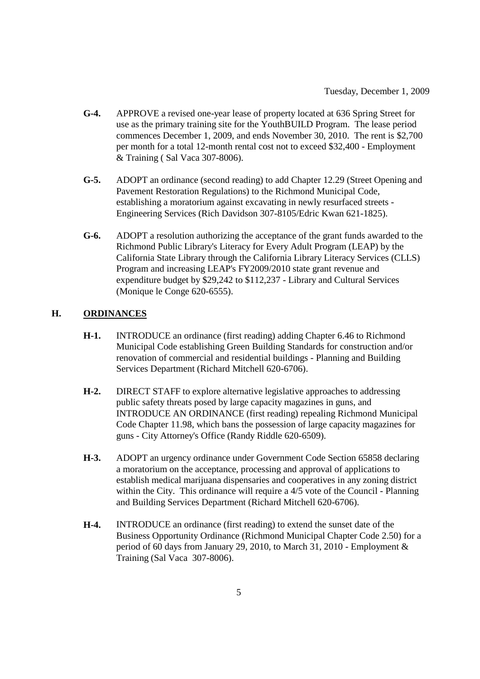- **G-4.** APPROVE a revised one-year lease of property located at 636 Spring Street for use as the primary training site for the YouthBUILD Program. The lease period commences December 1, 2009, and ends November 30, 2010. The rent is \$2,700 per month for a total 12-month rental cost not to exceed \$32,400 - Employment & Training ( Sal Vaca 307-8006).
- **G-5.** ADOPT an ordinance (second reading) to add Chapter 12.29 (Street Opening and Pavement Restoration Regulations) to the Richmond Municipal Code, establishing a moratorium against excavating in newly resurfaced streets - Engineering Services (Rich Davidson 307-8105/Edric Kwan 621-1825).
- **G-6.** ADOPT a resolution authorizing the acceptance of the grant funds awarded to the Richmond Public Library's Literacy for Every Adult Program (LEAP) by the California State Library through the California Library Literacy Services (CLLS) Program and increasing LEAP's FY2009/2010 state grant revenue and expenditure budget by \$29,242 to \$112,237 - Library and Cultural Services (Monique le Conge 620-6555).

# **H. ORDINANCES**

- **H-1.** INTRODUCE an ordinance (first reading) adding Chapter 6.46 to Richmond Municipal Code establishing Green Building Standards for construction and/or renovation of commercial and residential buildings - Planning and Building Services Department (Richard Mitchell 620-6706).
- **H-2.** DIRECT STAFF to explore alternative legislative approaches to addressing public safety threats posed by large capacity magazines in guns, and INTRODUCE AN ORDINANCE (first reading) repealing Richmond Municipal Code Chapter 11.98, which bans the possession of large capacity magazines for guns - City Attorney's Office (Randy Riddle 620-6509).
- **H-3.** ADOPT an urgency ordinance under Government Code Section 65858 declaring a moratorium on the acceptance, processing and approval of applications to establish medical marijuana dispensaries and cooperatives in any zoning district within the City. This ordinance will require a 4/5 vote of the Council - Planning and Building Services Department (Richard Mitchell 620-6706).
- **H-4.** INTRODUCE an ordinance (first reading) to extend the sunset date of the Business Opportunity Ordinance (Richmond Municipal Chapter Code 2.50) for a period of 60 days from January 29, 2010, to March 31, 2010 - Employment & Training (Sal Vaca 307-8006).